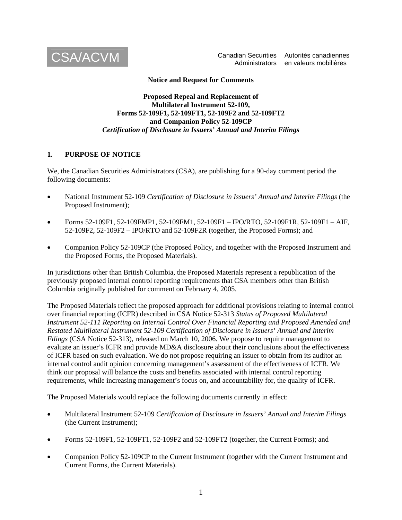

 Administrators en valeurs mobilières Canadian Securities Autorités canadiennes

**Notice and Request for Comments** 

**Proposed Repeal and Replacement of Multilateral Instrument 52-109, Forms 52-109F1, 52-109FT1, 52-109F2 and 52-109FT2 and Companion Policy 52-109CP**  *Certification of Disclosure in Issuers' Annual and Interim Filings* 

#### **1. PURPOSE OF NOTICE**

We, the Canadian Securities Administrators (CSA), are publishing for a 90-day comment period the following documents:

- National Instrument 52-109 *Certification of Disclosure in Issuers' Annual and Interim Filings* (the Proposed Instrument);
- Forms 52-109F1, 52-109FMP1, 52-109FM1, 52-109F1 IPO/RTO, 52-109F1R, 52-109F1 AIF, 52-109F2, 52-109F2 – IPO/RTO and 52-109F2R (together, the Proposed Forms); and
- Companion Policy 52-109CP (the Proposed Policy, and together with the Proposed Instrument and the Proposed Forms, the Proposed Materials).

In jurisdictions other than British Columbia, the Proposed Materials represent a republication of the previously proposed internal control reporting requirements that CSA members other than British Columbia originally published for comment on February 4, 2005.

The Proposed Materials reflect the proposed approach for additional provisions relating to internal control over financial reporting (ICFR) described in CSA Notice 52-313 *Status of Proposed Multilateral Instrument 52-111 Reporting on Internal Control Over Financial Reporting and Proposed Amended and Restated Multilateral Instrument 52-109 Certification of Disclosure in Issuers' Annual and Interim Filings* (CSA Notice 52-313), released on March 10, 2006. We propose to require management to evaluate an issuer's ICFR and provide MD&A disclosure about their conclusions about the effectiveness of ICFR based on such evaluation. We do not propose requiring an issuer to obtain from its auditor an internal control audit opinion concerning management's assessment of the effectiveness of ICFR. We think our proposal will balance the costs and benefits associated with internal control reporting requirements, while increasing management's focus on, and accountability for, the quality of ICFR.

The Proposed Materials would replace the following documents currently in effect:

- Multilateral Instrument 52-109 *Certification of Disclosure in Issuers' Annual and Interim Filings* (the Current Instrument);
- Forms 52-109F1, 52-109FT1, 52-109F2 and 52-109FT2 (together, the Current Forms); and
- Companion Policy 52-109CP to the Current Instrument (together with the Current Instrument and Current Forms, the Current Materials).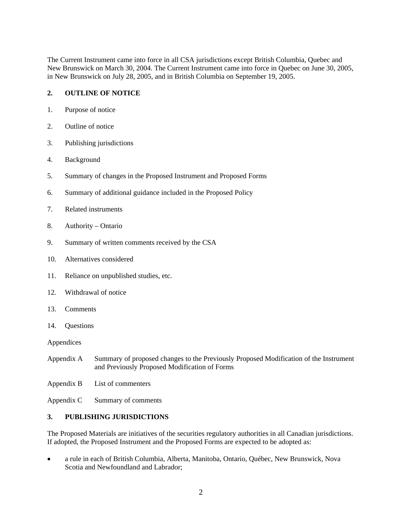The Current Instrument came into force in all CSA jurisdictions except British Columbia, Quebec and New Brunswick on March 30, 2004. The Current Instrument came into force in Quebec on June 30, 2005, in New Brunswick on July 28, 2005, and in British Columbia on September 19, 2005.

# **2. OUTLINE OF NOTICE**

- 1. Purpose of notice
- 2. Outline of notice
- 3. Publishing jurisdictions
- 4. Background
- 5. Summary of changes in the Proposed Instrument and Proposed Forms
- 6. Summary of additional guidance included in the Proposed Policy
- 7. Related instruments
- 8. Authority Ontario
- 9. Summary of written comments received by the CSA
- 10. Alternatives considered
- 11. Reliance on unpublished studies, etc.
- 12. Withdrawal of notice
- 13. Comments
- 14. Questions

Appendices

- Appendix A Summary of proposed changes to the Previously Proposed Modification of the Instrument and Previously Proposed Modification of Forms
- Appendix B List of commenters
- Appendix C Summary of comments

# **3. PUBLISHING JURISDICTIONS**

The Proposed Materials are initiatives of the securities regulatory authorities in all Canadian jurisdictions. If adopted, the Proposed Instrument and the Proposed Forms are expected to be adopted as:

• a rule in each of British Columbia, Alberta, Manitoba, Ontario, Québec, New Brunswick, Nova Scotia and Newfoundland and Labrador;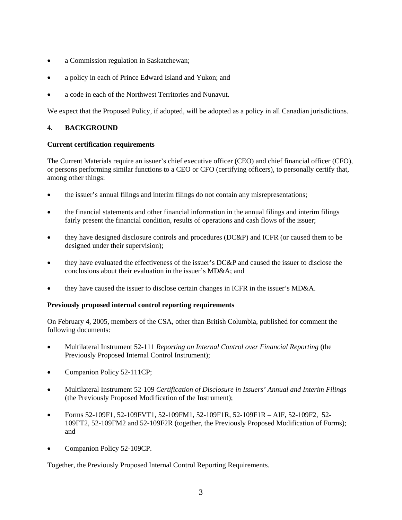- a Commission regulation in Saskatchewan;
- a policy in each of Prince Edward Island and Yukon; and
- a code in each of the Northwest Territories and Nunavut.

We expect that the Proposed Policy, if adopted, will be adopted as a policy in all Canadian jurisdictions.

# **4. BACKGROUND**

#### **Current certification requirements**

The Current Materials require an issuer's chief executive officer (CEO) and chief financial officer (CFO), or persons performing similar functions to a CEO or CFO (certifying officers), to personally certify that, among other things:

- the issuer's annual filings and interim filings do not contain any misrepresentations;
- the financial statements and other financial information in the annual filings and interim filings fairly present the financial condition, results of operations and cash flows of the issuer;
- they have designed disclosure controls and procedures (DC&P) and ICFR (or caused them to be designed under their supervision);
- they have evaluated the effectiveness of the issuer's DC&P and caused the issuer to disclose the conclusions about their evaluation in the issuer's MD&A; and
- they have caused the issuer to disclose certain changes in ICFR in the issuer's MD&A.

#### **Previously proposed internal control reporting requirements**

On February 4, 2005, members of the CSA, other than British Columbia, published for comment the following documents:

- Multilateral Instrument 52-111 *Reporting on Internal Control over Financial Reporting* (the Previously Proposed Internal Control Instrument);
- Companion Policy 52-111CP;
- Multilateral Instrument 52-109 *Certification of Disclosure in Issuers' Annual and Interim Filings* (the Previously Proposed Modification of the Instrument);
- Forms 52-109F1, 52-109FVT1, 52-109FM1, 52-109F1R, 52-109F1R AIF, 52-109F2, 52- 109FT2, 52-109FM2 and 52-109F2R (together, the Previously Proposed Modification of Forms); and
- Companion Policy 52-109CP.

Together, the Previously Proposed Internal Control Reporting Requirements.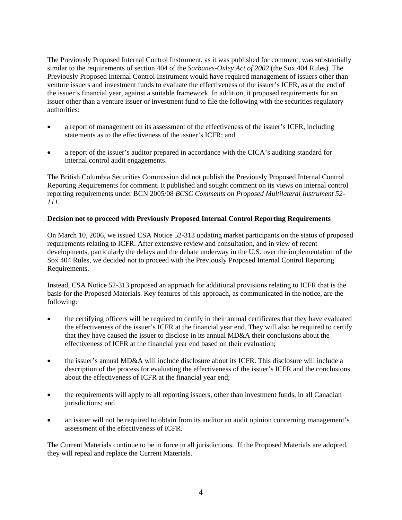The Previously Proposed Internal Control Instrument, as it was published for comment, was substantially similar to the requirements of section 404 of the *Sarbanes-Oxley Act of 2002* (the Sox 404 Rules). The Previously Proposed Internal Control Instrument would have required management of issuers other than venture issuers and investment funds to evaluate the effectiveness of the issuer's ICFR, as at the end of the issuer's financial year, against a suitable framework. In addition, it proposed requirements for an issuer other than a venture issuer or investment fund to file the following with the securities regulatory authorities:

- a report of management on its assessment of the effectiveness of the issuer's ICFR, including statements as to the effectiveness of the issuer's ICFR; and
- a report of the issuer's auditor prepared in accordance with the CICA's auditing standard for internal control audit engagements.

The British Columbia Securities Commission did not publish the Previously Proposed Internal Control Reporting Requirements for comment. It published and sought comment on its views on internal control reporting requirements under BCN 2005/08 *BCSC Comments on Proposed Multilateral Instrument 52- 111*.

## **Decision not to proceed with Previously Proposed Internal Control Reporting Requirements**

On March 10, 2006, we issued CSA Notice 52-313 updating market participants on the status of proposed requirements relating to ICFR. After extensive review and consultation, and in view of recent developments, particularly the delays and the debate underway in the U.S. over the implementation of the Sox 404 Rules, we decided not to proceed with the Previously Proposed Internal Control Reporting Requirements.

Instead, CSA Notice 52-313 proposed an approach for additional provisions relating to ICFR that is the basis for the Proposed Materials. Key features of this approach, as communicated in the notice, are the following:

- the certifying officers will be required to certify in their annual certificates that they have evaluated the effectiveness of the issuer's ICFR at the financial year end. They will also be required to certify that they have caused the issuer to disclose in its annual MD&A their conclusions about the effectiveness of ICFR at the financial year end based on their evaluation;
- the issuer's annual MD&A will include disclosure about its ICFR. This disclosure will include a description of the process for evaluating the effectiveness of the issuer's ICFR and the conclusions about the effectiveness of ICFR at the financial year end;
- the requirements will apply to all reporting issuers, other than investment funds, in all Canadian jurisdictions; and
- an issuer will not be required to obtain from its auditor an audit opinion concerning management's assessment of the effectiveness of ICFR.

The Current Materials continue to be in force in all jurisdictions. If the Proposed Materials are adopted, they will repeal and replace the Current Materials.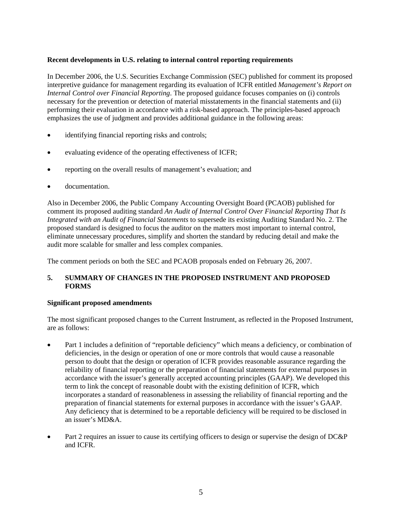## **Recent developments in U.S. relating to internal control reporting requirements**

In December 2006, the U.S. Securities Exchange Commission (SEC) published for comment its proposed interpretive guidance for management regarding its evaluation of ICFR entitled *Management's Report on Internal Control over Financial Reporting*. The proposed guidance focuses companies on (i) controls necessary for the prevention or detection of material misstatements in the financial statements and (ii) performing their evaluation in accordance with a risk-based approach. The principles-based approach emphasizes the use of judgment and provides additional guidance in the following areas:

- identifying financial reporting risks and controls;
- evaluating evidence of the operating effectiveness of ICFR;
- reporting on the overall results of management's evaluation; and
- documentation.

Also in December 2006, the Public Company Accounting Oversight Board (PCAOB) published for comment its proposed auditing standard *An Audit of Internal Control Over Financial Reporting That Is Integrated with an Audit of Financial Statements* to supersede its existing Auditing Standard No. 2. The proposed standard is designed to focus the auditor on the matters most important to internal control, eliminate unnecessary procedures, simplify and shorten the standard by reducing detail and make the audit more scalable for smaller and less complex companies.

The comment periods on both the SEC and PCAOB proposals ended on February 26, 2007.

## **5. SUMMARY OF CHANGES IN THE PROPOSED INSTRUMENT AND PROPOSED FORMS**

#### **Significant proposed amendments**

The most significant proposed changes to the Current Instrument, as reflected in the Proposed Instrument, are as follows:

- Part 1 includes a definition of "reportable deficiency" which means a deficiency, or combination of deficiencies, in the design or operation of one or more controls that would cause a reasonable person to doubt that the design or operation of ICFR provides reasonable assurance regarding the reliability of financial reporting or the preparation of financial statements for external purposes in accordance with the issuer's generally accepted accounting principles (GAAP). We developed this term to link the concept of reasonable doubt with the existing definition of ICFR, which incorporates a standard of reasonableness in assessing the reliability of financial reporting and the preparation of financial statements for external purposes in accordance with the issuer's GAAP. Any deficiency that is determined to be a reportable deficiency will be required to be disclosed in an issuer's MD&A.
- Part 2 requires an issuer to cause its certifying officers to design or supervise the design of DC&P and ICFR.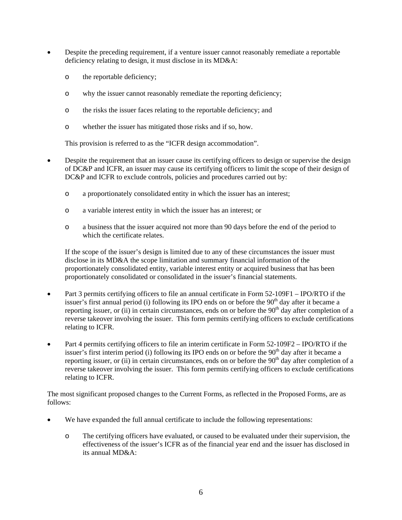- Despite the preceding requirement, if a venture issuer cannot reasonably remediate a reportable deficiency relating to design, it must disclose in its MD&A:
	- o the reportable deficiency;
	- o why the issuer cannot reasonably remediate the reporting deficiency;
	- o the risks the issuer faces relating to the reportable deficiency; and
	- o whether the issuer has mitigated those risks and if so, how.

This provision is referred to as the "ICFR design accommodation".

- Despite the requirement that an issuer cause its certifying officers to design or supervise the design of DC&P and ICFR, an issuer may cause its certifying officers to limit the scope of their design of DC&P and ICFR to exclude controls, policies and procedures carried out by:
	- o a proportionately consolidated entity in which the issuer has an interest;
	- o a variable interest entity in which the issuer has an interest; or
	- o a business that the issuer acquired not more than 90 days before the end of the period to which the certificate relates.

If the scope of the issuer's design is limited due to any of these circumstances the issuer must disclose in its MD&A the scope limitation and summary financial information of the proportionately consolidated entity, variable interest entity or acquired business that has been proportionately consolidated or consolidated in the issuer's financial statements.

- Part 3 permits certifying officers to file an annual certificate in Form 52-109F1 IPO/RTO if the issuer's first annual period (i) following its IPO ends on or before the 90<sup>th</sup> day after it became a reporting issuer, or (ii) in certain circumstances, ends on or before the  $90<sup>th</sup>$  day after completion of a reverse takeover involving the issuer. This form permits certifying officers to exclude certifications relating to ICFR.
- Part 4 permits certifying officers to file an interim certificate in Form 52-109F2 IPO/RTO if the issuer's first interim period (i) following its IPO ends on or before the  $90<sup>th</sup>$  day after it became a reporting issuer, or (ii) in certain circumstances, ends on or before the  $90<sup>th</sup>$  day after completion of a reverse takeover involving the issuer. This form permits certifying officers to exclude certifications relating to ICFR.

The most significant proposed changes to the Current Forms, as reflected in the Proposed Forms, are as follows:

- We have expanded the full annual certificate to include the following representations:
	- o The certifying officers have evaluated, or caused to be evaluated under their supervision, the effectiveness of the issuer's ICFR as of the financial year end and the issuer has disclosed in its annual MD&A: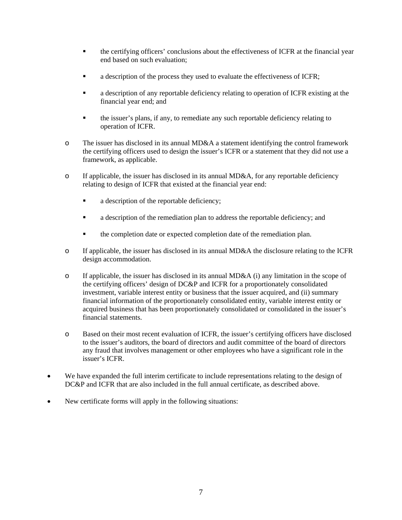- **the certifying officers' conclusions about the effectiveness of ICFR at the financial year** end based on such evaluation;
- a description of the process they used to evaluate the effectiveness of ICFR;
- a description of any reportable deficiency relating to operation of ICFR existing at the financial year end; and
- the issuer's plans, if any, to remediate any such reportable deficiency relating to operation of ICFR.
- o The issuer has disclosed in its annual MD&A a statement identifying the control framework the certifying officers used to design the issuer's ICFR or a statement that they did not use a framework, as applicable.
- o If applicable, the issuer has disclosed in its annual MD&A, for any reportable deficiency relating to design of ICFR that existed at the financial year end:
	- a description of the reportable deficiency;
	- a description of the remediation plan to address the reportable deficiency; and
	- **the completion date or expected completion date of the remediation plan.**
- o If applicable, the issuer has disclosed in its annual MD&A the disclosure relating to the ICFR design accommodation.
- o If applicable, the issuer has disclosed in its annual MD&A (i) any limitation in the scope of the certifying officers' design of DC&P and ICFR for a proportionately consolidated investment, variable interest entity or business that the issuer acquired, and (ii) summary financial information of the proportionately consolidated entity, variable interest entity or acquired business that has been proportionately consolidated or consolidated in the issuer's financial statements.
- o Based on their most recent evaluation of ICFR, the issuer's certifying officers have disclosed to the issuer's auditors, the board of directors and audit committee of the board of directors any fraud that involves management or other employees who have a significant role in the issuer's ICFR.
- We have expanded the full interim certificate to include representations relating to the design of DC&P and ICFR that are also included in the full annual certificate, as described above.
- New certificate forms will apply in the following situations: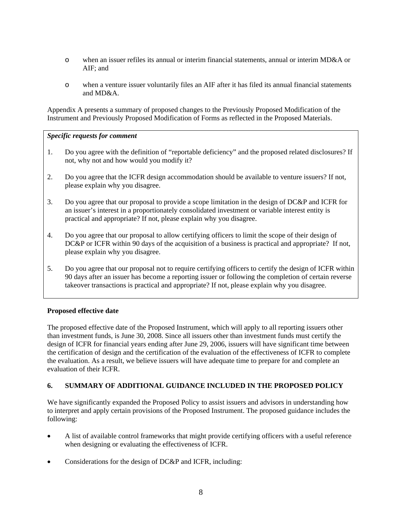- o when an issuer refiles its annual or interim financial statements, annual or interim MD&A or AIF; and
- o when a venture issuer voluntarily files an AIF after it has filed its annual financial statements and MD&A.

Appendix A presents a summary of proposed changes to the Previously Proposed Modification of the Instrument and Previously Proposed Modification of Forms as reflected in the Proposed Materials.

## *Specific requests for comment*

- 1. Do you agree with the definition of "reportable deficiency" and the proposed related disclosures? If not, why not and how would you modify it?
- 2. Do you agree that the ICFR design accommodation should be available to venture issuers? If not, please explain why you disagree.
- 3. Do you agree that our proposal to provide a scope limitation in the design of DC&P and ICFR for an issuer's interest in a proportionately consolidated investment or variable interest entity is practical and appropriate? If not, please explain why you disagree.
- 4. Do you agree that our proposal to allow certifying officers to limit the scope of their design of DC&P or ICFR within 90 days of the acquisition of a business is practical and appropriate? If not, please explain why you disagree.
- 5. Do you agree that our proposal not to require certifying officers to certify the design of ICFR within 90 days after an issuer has become a reporting issuer or following the completion of certain reverse takeover transactions is practical and appropriate? If not, please explain why you disagree.

#### **Proposed effective date**

The proposed effective date of the Proposed Instrument, which will apply to all reporting issuers other than investment funds, is June 30, 2008. Since all issuers other than investment funds must certify the design of ICFR for financial years ending after June 29, 2006, issuers will have significant time between the certification of design and the certification of the evaluation of the effectiveness of ICFR to complete the evaluation. As a result, we believe issuers will have adequate time to prepare for and complete an evaluation of their ICFR.

#### **6. SUMMARY OF ADDITIONAL GUIDANCE INCLUDED IN THE PROPOSED POLICY**

We have significantly expanded the Proposed Policy to assist issuers and advisors in understanding how to interpret and apply certain provisions of the Proposed Instrument. The proposed guidance includes the following:

- A list of available control frameworks that might provide certifying officers with a useful reference when designing or evaluating the effectiveness of ICFR.
- Considerations for the design of DC&P and ICFR, including: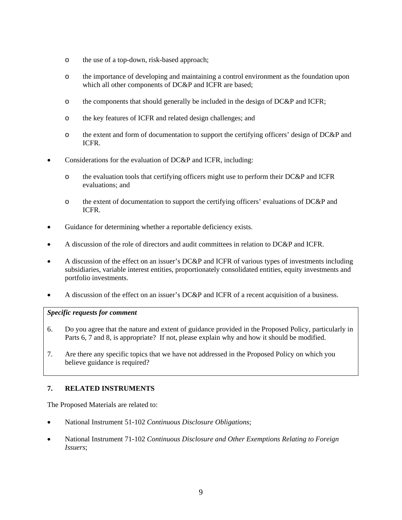- o the use of a top-down, risk-based approach;
- o the importance of developing and maintaining a control environment as the foundation upon which all other components of DC&P and ICFR are based;
- o the components that should generally be included in the design of DC&P and ICFR;
- o the key features of ICFR and related design challenges; and
- o the extent and form of documentation to support the certifying officers' design of DC&P and ICFR.
- Considerations for the evaluation of DC&P and ICFR, including:
	- o the evaluation tools that certifying officers might use to perform their DC&P and ICFR evaluations; and
	- o the extent of documentation to support the certifying officers' evaluations of DC&P and ICFR.
- Guidance for determining whether a reportable deficiency exists.
- A discussion of the role of directors and audit committees in relation to DC&P and ICFR.
- A discussion of the effect on an issuer's DC&P and ICFR of various types of investments including subsidiaries, variable interest entities, proportionately consolidated entities, equity investments and portfolio investments.
- A discussion of the effect on an issuer's DC&P and ICFR of a recent acquisition of a business.

#### *Specific requests for comment*

- 6. Do you agree that the nature and extent of guidance provided in the Proposed Policy, particularly in Parts 6, 7 and 8, is appropriate? If not, please explain why and how it should be modified.
- 7. Are there any specific topics that we have not addressed in the Proposed Policy on which you believe guidance is required?

# **7. RELATED INSTRUMENTS**

The Proposed Materials are related to:

- National Instrument 51-102 *Continuous Disclosure Obligations*;
- National Instrument 71-102 *Continuous Disclosure and Other Exemptions Relating to Foreign Issuers*;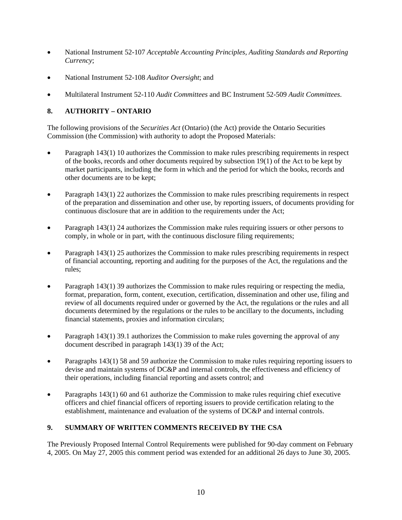- National Instrument 52-107 *Acceptable Accounting Principles, Auditing Standards and Reporting Currency*;
- National Instrument 52-108 *Auditor Oversight*; and
- Multilateral Instrument 52-110 *Audit Committees* and BC Instrument 52-509 *Audit Committees*.

# **8. AUTHORITY – ONTARIO**

The following provisions of the *Securities Act* (Ontario) (the Act) provide the Ontario Securities Commission (the Commission) with authority to adopt the Proposed Materials:

- Paragraph 143(1) 10 authorizes the Commission to make rules prescribing requirements in respect of the books, records and other documents required by subsection 19(1) of the Act to be kept by market participants, including the form in which and the period for which the books, records and other documents are to be kept;
- Paragraph 143(1) 22 authorizes the Commission to make rules prescribing requirements in respect of the preparation and dissemination and other use, by reporting issuers, of documents providing for continuous disclosure that are in addition to the requirements under the Act;
- Paragraph 143(1) 24 authorizes the Commission make rules requiring issuers or other persons to comply, in whole or in part, with the continuous disclosure filing requirements;
- Paragraph 143(1) 25 authorizes the Commission to make rules prescribing requirements in respect of financial accounting, reporting and auditing for the purposes of the Act, the regulations and the rules;
- Paragraph 143(1) 39 authorizes the Commission to make rules requiring or respecting the media, format, preparation, form, content, execution, certification, dissemination and other use, filing and review of all documents required under or governed by the Act, the regulations or the rules and all documents determined by the regulations or the rules to be ancillary to the documents, including financial statements, proxies and information circulars;
- Paragraph 143(1) 39.1 authorizes the Commission to make rules governing the approval of any document described in paragraph 143(1) 39 of the Act;
- Paragraphs 143(1) 58 and 59 authorize the Commission to make rules requiring reporting issuers to devise and maintain systems of DC&P and internal controls, the effectiveness and efficiency of their operations, including financial reporting and assets control; and
- Paragraphs 143(1) 60 and 61 authorize the Commission to make rules requiring chief executive officers and chief financial officers of reporting issuers to provide certification relating to the establishment, maintenance and evaluation of the systems of DC&P and internal controls.

# **9. SUMMARY OF WRITTEN COMMENTS RECEIVED BY THE CSA**

The Previously Proposed Internal Control Requirements were published for 90-day comment on February 4, 2005. On May 27, 2005 this comment period was extended for an additional 26 days to June 30, 2005.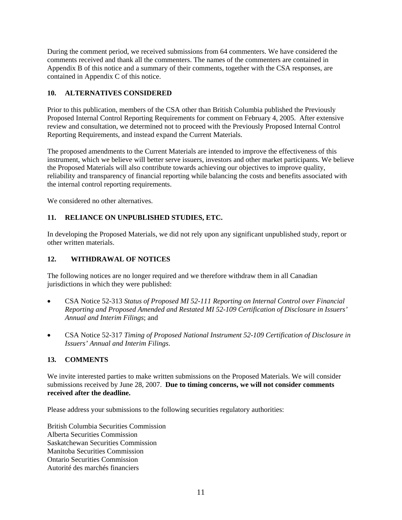During the comment period, we received submissions from 64 commenters. We have considered the comments received and thank all the commenters. The names of the commenters are contained in Appendix B of this notice and a summary of their comments, together with the CSA responses, are contained in Appendix C of this notice.

# **10. ALTERNATIVES CONSIDERED**

Prior to this publication, members of the CSA other than British Columbia published the Previously Proposed Internal Control Reporting Requirements for comment on February 4, 2005. After extensive review and consultation, we determined not to proceed with the Previously Proposed Internal Control Reporting Requirements, and instead expand the Current Materials.

The proposed amendments to the Current Materials are intended to improve the effectiveness of this instrument, which we believe will better serve issuers, investors and other market participants. We believe the Proposed Materials will also contribute towards achieving our objectives to improve quality, reliability and transparency of financial reporting while balancing the costs and benefits associated with the internal control reporting requirements.

We considered no other alternatives.

#### **11. RELIANCE ON UNPUBLISHED STUDIES, ETC.**

In developing the Proposed Materials, we did not rely upon any significant unpublished study, report or other written materials.

#### **12. WITHDRAWAL OF NOTICES**

The following notices are no longer required and we therefore withdraw them in all Canadian jurisdictions in which they were published:

- CSA Notice 52-313 *Status of Proposed MI 52-111 Reporting on Internal Control over Financial Reporting and Proposed Amended and Restated MI 52-109 Certification of Disclosure in Issuers' Annual and Interim Filings*; and
- CSA Notice 52-317 *Timing of Proposed National Instrument 52-109 Certification of Disclosure in Issuers' Annual and Interim Filings*.

#### **13. COMMENTS**

We invite interested parties to make written submissions on the Proposed Materials. We will consider submissions received by June 28, 2007. **Due to timing concerns, we will not consider comments received after the deadline.**

Please address your submissions to the following securities regulatory authorities:

British Columbia Securities Commission Alberta Securities Commission Saskatchewan Securities Commission Manitoba Securities Commission Ontario Securities Commission Autorité des marchés financiers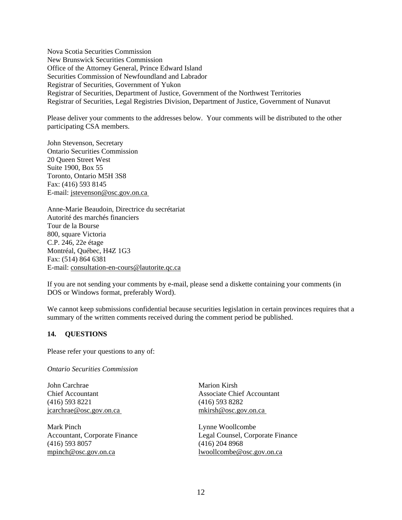Nova Scotia Securities Commission New Brunswick Securities Commission Office of the Attorney General, Prince Edward Island Securities Commission of Newfoundland and Labrador Registrar of Securities, Government of Yukon Registrar of Securities, Department of Justice, Government of the Northwest Territories Registrar of Securities, Legal Registries Division, Department of Justice, Government of Nunavut

Please deliver your comments to the addresses below. Your comments will be distributed to the other participating CSA members.

John Stevenson, Secretary Ontario Securities Commission 20 Queen Street West Suite 1900, Box 55 Toronto, Ontario M5H 3S8 Fax: (416) 593 8145 E-mail: jstevenson@osc.gov.on.ca

Anne-Marie Beaudoin, Directrice du secrétariat Autorité des marchés financiers Tour de la Bourse 800, square Victoria C.P. 246, 22e étage Montréal, Québec, H4Z 1G3 Fax: (514) 864 6381 E-mail: consultation-en-cours@lautorite.qc.ca

If you are not sending your comments by e-mail, please send a diskette containing your comments (in DOS or Windows format, preferably Word).

We cannot keep submissions confidential because securities legislation in certain provinces requires that a summary of the written comments received during the comment period be published.

# **14. QUESTIONS**

Please refer your questions to any of:

*Ontario Securities Commission* 

John Carchrae Chief Accountant (416) 593 8221 jcarchrae@osc.gov.on.ca

Mark Pinch Accountant, Corporate Finance (416) 593 8057 mpinch@osc.gov.on.ca

Marion Kirsh Associate Chief Accountant (416) 593 8282 mkirsh@osc.gov.on.ca

Lynne Woollcombe Legal Counsel, Corporate Finance (416) 204 8968 lwoollcombe@osc.gov.on.ca